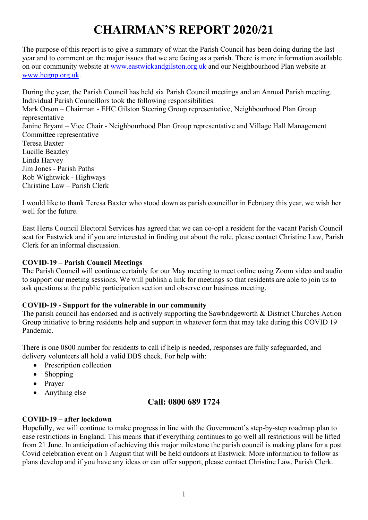# CHAIRMAN'S REPORT 2020/21

The purpose of this report is to give a summary of what the Parish Council has been doing during the last year and to comment on the major issues that we are facing as a parish. There is more information available on our community website at www.eastwickandgilston.org.uk and our Neighbourhood Plan website at www.hegnp.org.uk.

During the year, the Parish Council has held six Parish Council meetings and an Annual Parish meeting. Individual Parish Councillors took the following responsibilities. Mark Orson – Chairman - EHC Gilston Steering Group representative, Neighbourhood Plan Group representative Janine Bryant – Vice Chair - Neighbourhood Plan Group representative and Village Hall Management Committee representative Teresa Baxter Lucille Beazley Linda Harvey Jim Jones - Parish Paths Rob Wightwick - Highways Christine Law – Parish Clerk

I would like to thank Teresa Baxter who stood down as parish councillor in February this year, we wish her well for the future.

East Herts Council Electoral Services has agreed that we can co-opt a resident for the vacant Parish Council seat for Eastwick and if you are interested in finding out about the role, please contact Christine Law, Parish Clerk for an informal discussion.

# COVID-19 – Parish Council Meetings

The Parish Council will continue certainly for our May meeting to meet online using Zoom video and audio to support our meeting sessions. We will publish a link for meetings so that residents are able to join us to ask questions at the public participation section and observe our business meeting.

# COVID-19 - Support for the vulnerable in our community

The parish council has endorsed and is actively supporting the Sawbridgeworth & District Churches Action Group initiative to bring residents help and support in whatever form that may take during this COVID 19 Pandemic.

There is one 0800 number for residents to call if help is needed, responses are fully safeguarded, and delivery volunteers all hold a valid DBS check. For help with:

- Prescription collection
- Shopping
- Prayer
- Anything else

# Call: 0800 689 1724

# COVID-19 – after lockdown

Hopefully, we will continue to make progress in line with the Government's step-by-step roadmap plan to ease restrictions in England. This means that if everything continues to go well all restrictions will be lifted from 21 June. In anticipation of achieving this major milestone the parish council is making plans for a post Covid celebration event on 1 August that will be held outdoors at Eastwick. More information to follow as plans develop and if you have any ideas or can offer support, please contact Christine Law, Parish Clerk.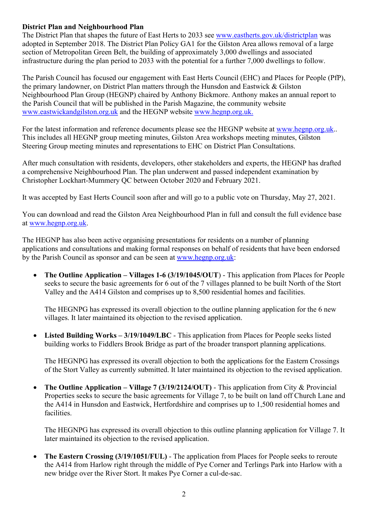# District Plan and Neighbourhood Plan

The District Plan that shapes the future of East Herts to 2033 see www.eastherts.gov.uk/districtplan was adopted in September 2018. The District Plan Policy GA1 for the Gilston Area allows removal of a large section of Metropolitan Green Belt, the building of approximately 3,000 dwellings and associated infrastructure during the plan period to 2033 with the potential for a further 7,000 dwellings to follow.

The Parish Council has focused our engagement with East Herts Council (EHC) and Places for People (PfP), the primary landowner, on District Plan matters through the Hunsdon and Eastwick & Gilston Neighbourhood Plan Group (HEGNP) chaired by Anthony Bickmore. Anthony makes an annual report to the Parish Council that will be published in the Parish Magazine, the community website www.eastwickandgilston.org.uk and the HEGNP website www.hegnp.org.uk.

For the latest information and reference documents please see the HEGNP website at www.hegnp.org.uk.. This includes all HEGNP group meeting minutes, Gilston Area workshops meeting minutes, Gilston Steering Group meeting minutes and representations to EHC on District Plan Consultations.

After much consultation with residents, developers, other stakeholders and experts, the HEGNP has drafted a comprehensive Neighbourhood Plan. The plan underwent and passed independent examination by Christopher Lockhart-Mummery QC between October 2020 and February 2021.

It was accepted by East Herts Council soon after and will go to a public vote on Thursday, May 27, 2021.

You can download and read the Gilston Area Neighbourhood Plan in full and consult the full evidence base at www.hegnp.org.uk.

The HEGNP has also been active organising presentations for residents on a number of planning applications and consultations and making formal responses on behalf of residents that have been endorsed by the Parish Council as sponsor and can be seen at www.hegnp.org.uk:

 The Outline Application – Villages 1-6 (3/19/1045/OUT) - This application from Places for People seeks to secure the basic agreements for 6 out of the 7 villages planned to be built North of the Stort Valley and the A414 Gilston and comprises up to 8,500 residential homes and facilities.

The HEGNPG has expressed its overall objection to the outline planning application for the 6 new villages. It later maintained its objection to the revised application.

Listed Building Works – 3/19/1049/LBC - This application from Places for People seeks listed building works to Fiddlers Brook Bridge as part of the broader transport planning applications.

The HEGNPG has expressed its overall objection to both the applications for the Eastern Crossings of the Stort Valley as currently submitted. It later maintained its objection to the revised application.

 The Outline Application – Village 7 (3/19/2124/OUT) - This application from City & Provincial Properties seeks to secure the basic agreements for Village 7, to be built on land off Church Lane and the A414 in Hunsdon and Eastwick, Hertfordshire and comprises up to 1,500 residential homes and facilities.

The HEGNPG has expressed its overall objection to this outline planning application for Village 7. It later maintained its objection to the revised application.

 The Eastern Crossing (3/19/1051/FUL) - The application from Places for People seeks to reroute the A414 from Harlow right through the middle of Pye Corner and Terlings Park into Harlow with a new bridge over the River Stort. It makes Pye Corner a cul-de-sac.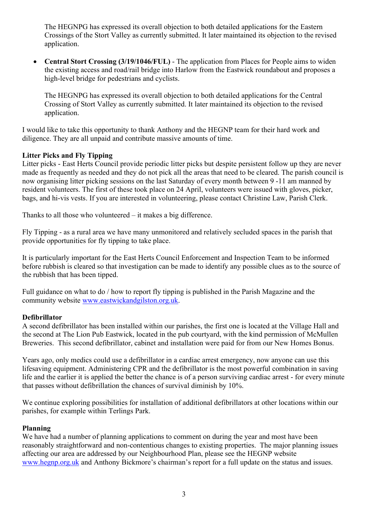The HEGNPG has expressed its overall objection to both detailed applications for the Eastern Crossings of the Stort Valley as currently submitted. It later maintained its objection to the revised application.

 Central Stort Crossing (3/19/1046/FUL) - The application from Places for People aims to widen the existing access and road/rail bridge into Harlow from the Eastwick roundabout and proposes a high-level bridge for pedestrians and cyclists.

The HEGNPG has expressed its overall objection to both detailed applications for the Central Crossing of Stort Valley as currently submitted. It later maintained its objection to the revised application.

I would like to take this opportunity to thank Anthony and the HEGNP team for their hard work and diligence. They are all unpaid and contribute massive amounts of time.

#### Litter Picks and Fly Tipping

Litter picks - East Herts Council provide periodic litter picks but despite persistent follow up they are never made as frequently as needed and they do not pick all the areas that need to be cleared. The parish council is now organising litter picking sessions on the last Saturday of every month between 9 -11 am manned by resident volunteers. The first of these took place on 24 April, volunteers were issued with gloves, picker, bags, and hi-vis vests. If you are interested in volunteering, please contact Christine Law, Parish Clerk.

Thanks to all those who volunteered – it makes a big difference.

Fly Tipping - as a rural area we have many unmonitored and relatively secluded spaces in the parish that provide opportunities for fly tipping to take place.

It is particularly important for the East Herts Council Enforcement and Inspection Team to be informed before rubbish is cleared so that investigation can be made to identify any possible clues as to the source of the rubbish that has been tipped.

Full guidance on what to do / how to report fly tipping is published in the Parish Magazine and the community website www.eastwickandgilston.org.uk.

#### Defibrillator

A second defibrillator has been installed within our parishes, the first one is located at the Village Hall and the second at The Lion Pub Eastwick, located in the pub courtyard, with the kind permission of McMullen Breweries. This second defibrillator, cabinet and installation were paid for from our New Homes Bonus.

Years ago, only medics could use a defibrillator in a cardiac arrest emergency, now anyone can use this lifesaving equipment. Administering CPR and the defibrillator is the most powerful combination in saving life and the earlier it is applied the better the chance is of a person surviving cardiac arrest - for every minute that passes without defibrillation the chances of survival diminish by 10%.

We continue exploring possibilities for installation of additional defibrillators at other locations within our parishes, for example within Terlings Park.

#### Planning

We have had a number of planning applications to comment on during the year and most have been reasonably straightforward and non-contentious changes to existing properties. The major planning issues affecting our area are addressed by our Neighbourhood Plan, please see the HEGNP website www.hegnp.org.uk and Anthony Bickmore's chairman's report for a full update on the status and issues.